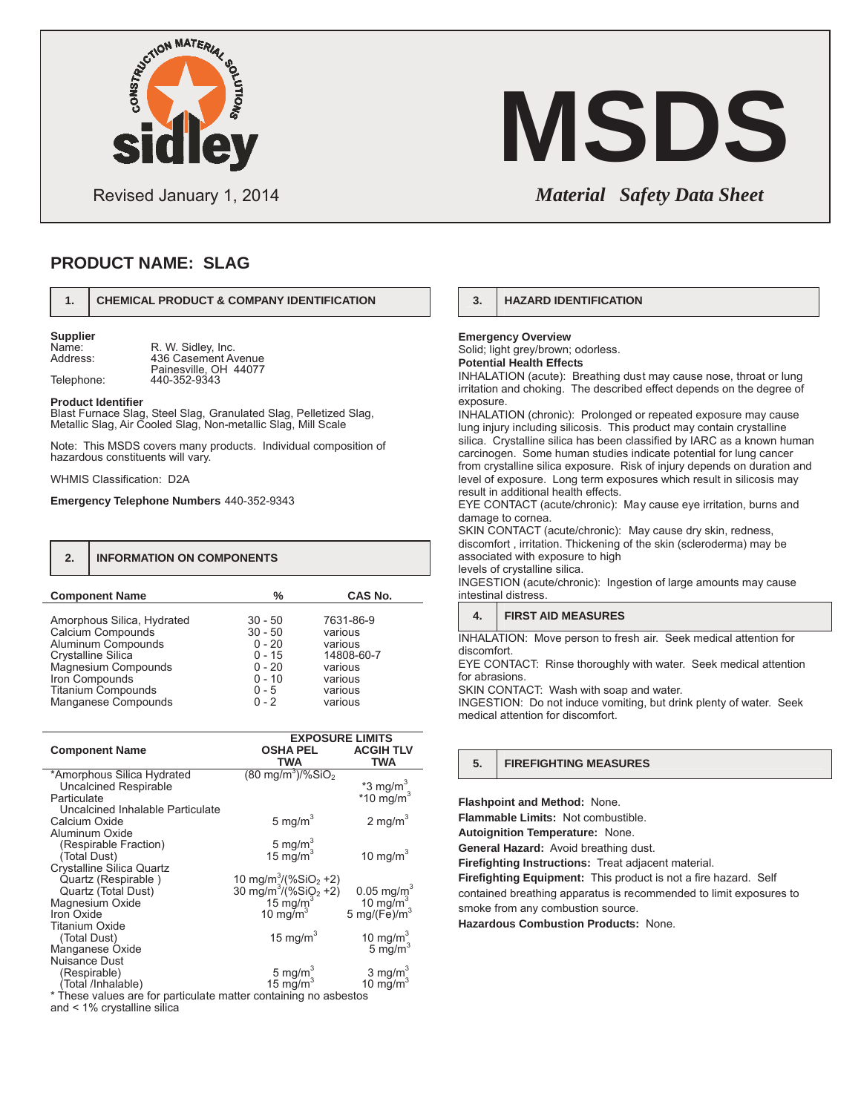

# Data Sheet , NewCem Page 2 of 2 **MSDS**

Revised January 1, 2014 *Material Safety Data Sheet*

### **PRODUCT NAME: SLAG**

### **1. CHEMICAL PRODUCT & COMPANY IDENTIFICATION**

**Supplier**

Name: R. W. Sidley, Inc.<br>Address: 436 Casement Ay 436 Casement Avenue Painesville, OH 44077 Telephone: 440-352-9343

### **Product Identifier**

Blast Furnace Slag, Steel Slag, Granulated Slag, Pelletized Slag, Metallic Slag, Air Cooled Slag, Non-metallic Slag, Mill Scale

Note: This MSDS covers many products. Individual composition of hazardous constituents will vary.

WHMIS Classification: D2A

Manganese Compounds

**Emergency Telephone Numbers** 440-352-9343

| 2.                         | <b>INFORMATION ON COMPONENTS</b> |            |  |
|----------------------------|----------------------------------|------------|--|
| <b>Component Name</b>      | ℅                                | CAS No.    |  |
| Amorphous Silica, Hydrated | $30 - 50$                        | 7631-86-9  |  |
| Calcium Compounds          | $30 - 50$                        | various    |  |
| Aluminum Compounds         | $0 - 20$                         | various    |  |
| Crystalline Silica         | $0 - 15$                         | 14808-60-7 |  |
| Magnesium Compounds        | $0 - 20$                         | various    |  |
| Iron Compounds             | $0 - 10$                         | various    |  |
| <b>Titanium Compounds</b>  | $0 - 5$                          | various    |  |

0-2

various

| <b>EXPOSURE LIMITS</b>                                                     |  |
|----------------------------------------------------------------------------|--|
| <b>ACGIH TLV</b>                                                           |  |
|                                                                            |  |
|                                                                            |  |
| $*3$ mg/m <sup>3</sup>                                                     |  |
| $*10$ mg/m <sup>3</sup>                                                    |  |
|                                                                            |  |
| 2 mg/m $3$                                                                 |  |
|                                                                            |  |
|                                                                            |  |
| 10 mg/ $m3$                                                                |  |
|                                                                            |  |
|                                                                            |  |
| 0.05 mg/m <sup>3</sup><br>10 mg/m <sup>3</sup><br>5 mg/(Fe)/m <sup>3</sup> |  |
|                                                                            |  |
|                                                                            |  |
|                                                                            |  |
| 10 mg/m <sup>3</sup><br>5 mg/m <sup>3</sup>                                |  |
|                                                                            |  |
|                                                                            |  |
| $3 \text{ mg/m}^3$                                                         |  |
| 10 $mg/m3$                                                                 |  |
|                                                                            |  |

values are for particulate matter containing no asbestos and < 1% crystalline silica

### **3. HAZARD IDENTIFICATION**

**Emergency Overview** Solid; light grey/brown; odorless. **Potential Health Effects**

INHALATION (acute): Breathing dust may cause nose, throat or lung irritation and choking. The described effect depends on the degree of exposure.

INHALATION (chronic): Prolonged or repeated exposure may cause lung injury including silicosis. This product may contain crystalline silica. Crystalline silica has been classified by IARC as a known human carcinogen. Some human studies indicate potential for lung cancer from crystalline silica exposure. Risk of injury depends on duration and level of exposure. Long term exposures which result in silicosis may result in additional health effects.

EYE CONTACT (acute/chronic): May cause eye irritation, burns and damage to cornea.

SKIN CONTACT (acute/chronic): May cause dry skin, redness, discomfort , irritation. Thickening of the skin (scleroderma) may be associated with exposure to high levels of crystalline silica.

INGESTION (acute/chronic): Ingestion of large amounts may cause intestinal distress.

| 4. | <b>FIRST AID MEASURES</b> |  |
|----|---------------------------|--|
|    |                           |  |

INHALATION: Move person to fresh air. Seek medical attention for discomfort.

EYE CONTACT: Rinse thoroughly with water. Seek medical attention for abrasions.

SKIN CONTACT: Wash with soap and water.

INGESTION: Do not induce vomiting, but drink plenty of water. Seek medical attention for discomfort.

### **5. FIREFIGHTING MEASURES**

**Flashpoint and Method:** None.

**Flammable Limits:** Not combustible.

**Autoignition Temperature:** None.

**General Hazard:** Avoid breathing dust.

**Firefighting Instructions:** Treat adjacent material.

**Firefighting Equipment:** This product is not a fire hazard. Self

contained breathing apparatus is recommended to limit exposures to smoke from any combustion source.

**Hazardous Combustion Products:** None.